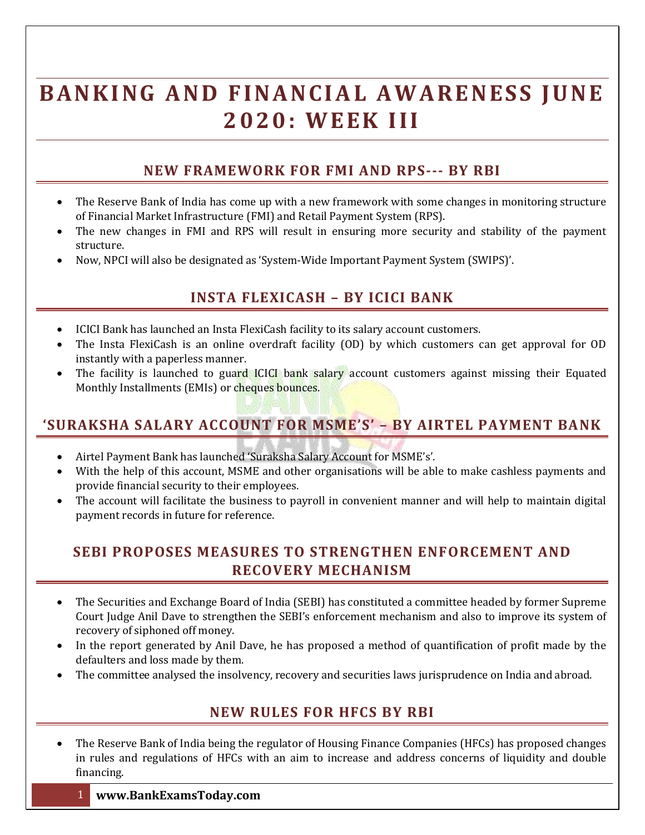# **BANKING AND FINANCIAL AWARENESS JUNE 2 0 2 0 : W E E K I I I**

### **NEW FRAMEWORK FOR FMI AND RPS--- BY RBI**

- The Reserve Bank of India has come up with a new framework with some changes in monitoring structure of Financial Market Infrastructure (FMI) and Retail Payment System (RPS).
- The new changes in FMI and RPS will result in ensuring more security and stability of the payment structure.
- Now, NPCI will also be designated as 'System-Wide Important Payment System (SWIPS)'.

# **INSTA FLEXICASH – BY ICICI BANK**

- ICICI Bank has launched an Insta FlexiCash facility to its salary account customers.
- The Insta FlexiCash is an online overdraft facility (OD) by which customers can get approval for OD instantly with a paperless manner.
- The facility is launched to guard ICICI bank salary account customers against missing their Equated Monthly Installments (EMIs) or cheques bounces.

# **'SURAKSHA SALARY ACCOUNT FOR MSME'S' – BY AIRTEL PAYMENT BANK**

- Airtel Payment Bank has launched 'Suraksha Salary Account for MSME's'.
- With the help of this account, MSME and other organisations will be able to make cashless payments and provide financial security to their employees.
- The account will facilitate the business to payroll in convenient manner and will help to maintain digital payment records in future for reference.

#### **SEBI PROPOSES MEASURES TO STRENGTHEN ENFORCEMENT AND RECOVERY MECHANISM**

- The Securities and Exchange Board of India (SEBI) has constituted a committee headed by former Supreme Court Judge Anil Dave to strengthen the SEBI's enforcement mechanism and also to improve its system of recovery of siphoned off money.
- In the report generated by Anil Dave, he has proposed a method of quantification of profit made by the defaulters and loss made by them.
- The committee analysed the insolvency, recovery and securities laws jurisprudence on India and abroad.

#### **NEW RULES FOR HFCS BY RBI**

 The Reserve Bank of India being the regulator of Housing Finance Companies (HFCs) has proposed changes in rules and regulations of HFCs with an aim to increase and address concerns of liquidity and double financing.

#### 1 **www.BankExamsToday.com**